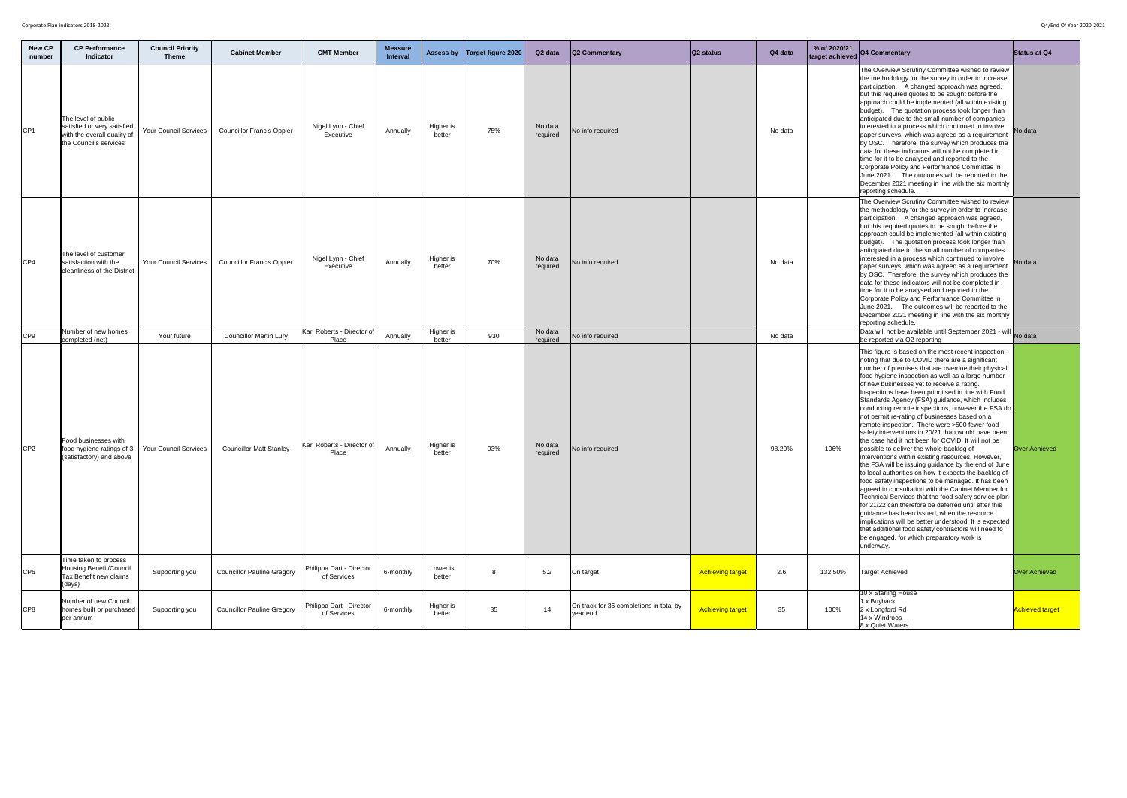| <b>New CP</b><br>number | <b>CP Performance</b><br><b>Indicator</b>                                                                   | <b>Council Priority</b><br><b>Theme</b> | <b>Cabinet Member</b>             | <b>CMT Member</b>                       | <b>Measure</b><br><b>Interval</b> |                     | Assess by   Target figure 2020 | Q <sub>2</sub> data | <b>Q2 Commentary</b>                                | $ Q2 \times 1$          | Q4 data | % of 2020/21<br>target achieved | Q4 Commentary                                                                                                                                                                                                                                                                                                                                                                                                                                                                                                                                                                                                                                                                                                                                                                                                                                                                                                                                                                                                                                                                                                                                                                                                                                                                                                         | Status at Q4          |
|-------------------------|-------------------------------------------------------------------------------------------------------------|-----------------------------------------|-----------------------------------|-----------------------------------------|-----------------------------------|---------------------|--------------------------------|---------------------|-----------------------------------------------------|-------------------------|---------|---------------------------------|-----------------------------------------------------------------------------------------------------------------------------------------------------------------------------------------------------------------------------------------------------------------------------------------------------------------------------------------------------------------------------------------------------------------------------------------------------------------------------------------------------------------------------------------------------------------------------------------------------------------------------------------------------------------------------------------------------------------------------------------------------------------------------------------------------------------------------------------------------------------------------------------------------------------------------------------------------------------------------------------------------------------------------------------------------------------------------------------------------------------------------------------------------------------------------------------------------------------------------------------------------------------------------------------------------------------------|-----------------------|
| CP <sub>1</sub>         | The level of public<br>satisfied or very satisfied<br>with the overall quality of<br>the Council's services | <b>Your Council Services</b>            | <b>Councillor Francis Oppler</b>  | Nigel Lynn - Chief<br>Executive         | Annually                          | Higher is<br>better | 75%                            | No data<br>required | No info required                                    |                         | No data |                                 | The Overview Scrutiny Committee wished to review<br>the methodology for the survey in order to increase<br>participation. A changed approach was agreed,<br>but this required quotes to be sought before the<br>approach could be implemented (all within existing<br>budget). The quotation process took longer than<br>anticipated due to the small number of companies<br>interested in a process which continued to involve<br>paper surveys, which was agreed as a requirement<br>by OSC. Therefore, the survey which produces the<br>data for these indicators will not be completed in<br>time for it to be analysed and reported to the<br>Corporate Policy and Performance Committee in<br>June 2021. The outcomes will be reported to the<br>December 2021 meeting in line with the six monthly<br>reporting schedule.                                                                                                                                                                                                                                                                                                                                                                                                                                                                                      | No data               |
| CP4                     | The level of customer<br>satisfaction with the<br><b>cleanliness of the District</b>                        | <b>Your Council Services</b>            | <b>Councillor Francis Oppler</b>  | Nigel Lynn - Chief<br>Executive         | Annually                          | Higher is<br>better | 70%                            | No data<br>required | No info required                                    |                         | No data |                                 | The Overview Scrutiny Committee wished to review<br>the methodology for the survey in order to increase<br>participation. A changed approach was agreed,<br>but this required quotes to be sought before the<br>approach could be implemented (all within existing<br>budget). The quotation process took longer than<br>anticipated due to the small number of companies<br>interested in a process which continued to involve<br>paper surveys, which was agreed as a requirement<br>by OSC. Therefore, the survey which produces the<br>data for these indicators will not be completed in<br>time for it to be analysed and reported to the<br>Corporate Policy and Performance Committee in<br>June 2021. The outcomes will be reported to the<br>December 2021 meeting in line with the six monthly<br>reporting schedule.                                                                                                                                                                                                                                                                                                                                                                                                                                                                                      | No data               |
| CP <sub>9</sub>         | Number of new homes<br>completed (net)                                                                      | Your future                             | <b>Councillor Martin Lury</b>     | Karl Roberts - Director of<br>Place     | Annually                          | Higher is<br>better | 930                            | No data<br>required | No info required                                    |                         | No data |                                 | Data will not be available until September 2021 - will No data<br>be reported via Q2 reporting                                                                                                                                                                                                                                                                                                                                                                                                                                                                                                                                                                                                                                                                                                                                                                                                                                                                                                                                                                                                                                                                                                                                                                                                                        |                       |
| CP <sub>2</sub>         | Food businesses with<br>food hygiene ratings of 3<br>(satisfactory) and above                               | <b>Your Council Services</b>            | <b>Councillor Matt Stanley</b>    | Karl Roberts - Director of<br>Place     | Annually                          | Higher is<br>better | 93%                            | No data<br>required | No info required                                    |                         | 98.20%  | 106%                            | This figure is based on the most recent inspection,<br>noting that due to COVID there are a significant<br>number of premises that are overdue their physical<br>food hygiene inspection as well as a large number<br>of new businesses yet to receive a rating.<br>Inspections have been prioritised in line with Food<br>Standards Agency (FSA) guidance, which includes<br>conducting remote inspections, however the FSA do<br>not permit re-rating of businesses based on a<br>remote inspection. There were >500 fewer food<br>safety interventions in 20/21 than would have been<br>the case had it not been for COVID. It will not be<br>possible to deliver the whole backlog of<br>interventions within existing resources. However,<br>the FSA will be issuing guidance by the end of June<br>to local authorities on how it expects the backlog of<br>food safety inspections to be managed. It has been<br>agreed in consultation with the Cabinet Member for<br>Technical Services that the food safety service plan<br>for 21/22 can therefore be deferred until after this<br>guidance has been issued, when the resource<br>implications will be better understood. It is expected<br>that additional food safety contractors will need to<br>be engaged, for which preparatory work is<br>underway. | <b>Over Achieved</b>  |
| CP <sub>6</sub>         | Time taken to process<br><b>Housing Benefit/Council</b><br>Tax Benefit new claims<br>(days)                 | Supporting you                          | <b>Councillor Pauline Gregory</b> | Philippa Dart - Director<br>of Services | 6-monthly                         | Lower is<br>better  | 8                              | 5.2                 | On target                                           | <b>Achieving target</b> | 2.6     | 132.50%                         | Target Achieved                                                                                                                                                                                                                                                                                                                                                                                                                                                                                                                                                                                                                                                                                                                                                                                                                                                                                                                                                                                                                                                                                                                                                                                                                                                                                                       | <b>Over Achieved</b>  |
| CP <sub>8</sub>         | Number of new Council<br>homes built or purchased<br>per annum                                              | Supporting you                          | <b>Councillor Pauline Gregory</b> | Philippa Dart - Director<br>of Services | 6-monthly                         | Higher is<br>better | 35                             | 14                  | On track for 36 completions in total by<br>year end | <b>Achieving target</b> | 35      | 100%                            | 10 x Starling House<br>1 x Buyback<br>2 x Longford Rd<br>14 x Windroos<br>8 x Quiet Waters                                                                                                                                                                                                                                                                                                                                                                                                                                                                                                                                                                                                                                                                                                                                                                                                                                                                                                                                                                                                                                                                                                                                                                                                                            | <b>Achieved targe</b> |

|                                                                                                                                                                                                                                                                                                                                                          | <b>Status at Q4</b>    |
|----------------------------------------------------------------------------------------------------------------------------------------------------------------------------------------------------------------------------------------------------------------------------------------------------------------------------------------------------------|------------------------|
| hed to review<br>r to increase<br>as agreed,<br>efore the<br>ithin existing<br>longer than<br>companies<br>d to involve<br>requirement<br>produces the<br>mpleted in<br>to the<br>mmittee in<br>ported to the<br>e six monthly                                                                                                                           | No data                |
| hed to review<br>r to increase<br>as agreed,<br>efore the<br>ithin existing<br>longer than<br>companies<br>d to involve<br>requirement<br>produces the<br>mpleted in<br>to the<br>mmittee in<br>ported to the<br>e six monthly                                                                                                                           | No data                |
| ber 2021 - will                                                                                                                                                                                                                                                                                                                                          | No data                |
| t inspection,<br>ignificant<br>heir physical<br>irge number<br>ng.<br>e with Food<br>nich includes<br>er the FSA do<br>ed on a<br>ewer food<br>d have been<br>will not be<br>эf<br>. However,<br>e end of June<br>າe backlog of<br>I. It has been<br>t Member for<br>service plan<br>til after this<br>esource<br>It is expected<br>will need to<br>k is | <b>Over Achieved</b>   |
|                                                                                                                                                                                                                                                                                                                                                          | <b>Over Achieved</b>   |
|                                                                                                                                                                                                                                                                                                                                                          | <b>Achieved target</b> |